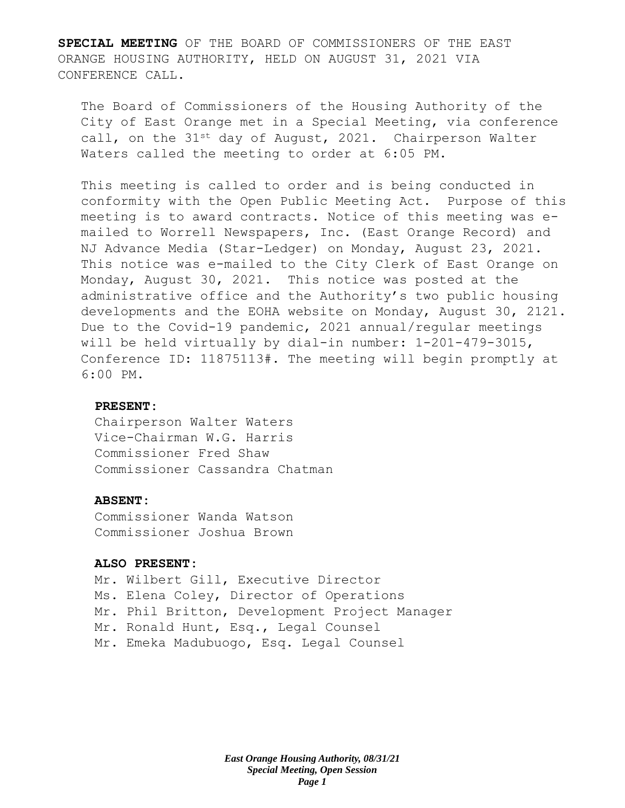**SPECIAL MEETING** OF THE BOARD OF COMMISSIONERS OF THE EAST ORANGE HOUSING AUTHORITY, HELD ON AUGUST 31, 2021 VIA CONFERENCE CALL.

The Board of Commissioners of the Housing Authority of the City of East Orange met in a Special Meeting, via conference call, on the  $31^{st}$  day of August, 2021. Chairperson Walter Waters called the meeting to order at 6:05 PM.

This meeting is called to order and is being conducted in conformity with the Open Public Meeting Act. Purpose of this meeting is to award contracts. Notice of this meeting was emailed to Worrell Newspapers, Inc. (East Orange Record) and NJ Advance Media (Star-Ledger) on Monday, August 23, 2021. This notice was e-mailed to the City Clerk of East Orange on Monday, August 30, 2021. This notice was posted at the administrative office and the Authority's two public housing developments and the EOHA website on Monday, August 30, 2121. Due to the Covid-19 pandemic, 2021 annual/regular meetings will be held virtually by dial-in number: 1-201-479-3015, Conference ID: 11875113#. The meeting will begin promptly at 6:00 PM.

## **PRESENT:**

Chairperson Walter Waters Vice-Chairman W.G. Harris Commissioner Fred Shaw Commissioner Cassandra Chatman

#### **ABSENT:**

Commissioner Wanda Watson Commissioner Joshua Brown

#### **ALSO PRESENT:**

Mr. Wilbert Gill, Executive Director Ms. Elena Coley, Director of Operations Mr. Phil Britton, Development Project Manager Mr. Ronald Hunt, Esq., Legal Counsel Mr. Emeka Madubuogo, Esq. Legal Counsel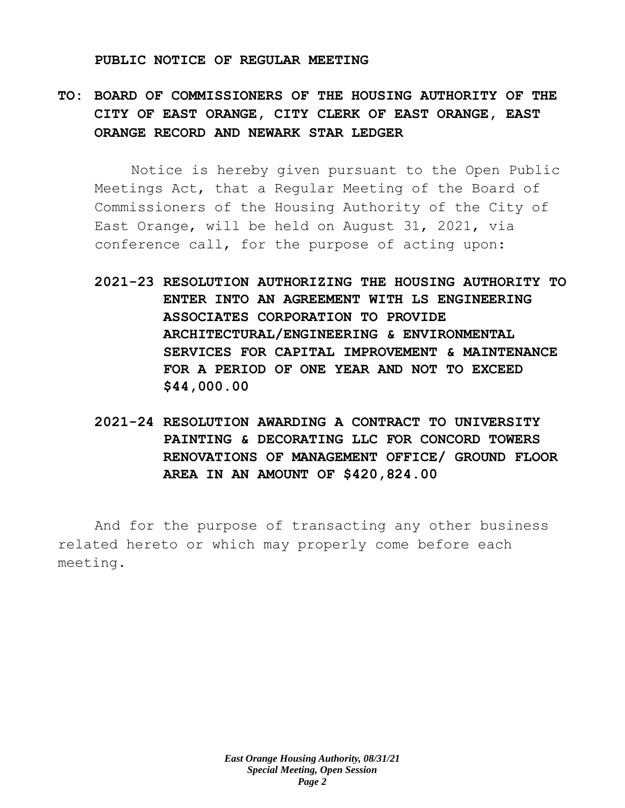#### **PUBLIC NOTICE OF REGULAR MEETING**

**TO: BOARD OF COMMISSIONERS OF THE HOUSING AUTHORITY OF THE CITY OF EAST ORANGE, CITY CLERK OF EAST ORANGE, EAST ORANGE RECORD AND NEWARK STAR LEDGER**

Notice is hereby given pursuant to the Open Public Meetings Act, that a Regular Meeting of the Board of Commissioners of the Housing Authority of the City of East Orange, will be held on August 31, 2021, via conference call, for the purpose of acting upon:

- **2021-23 RESOLUTION AUTHORIZING THE HOUSING AUTHORITY TO ENTER INTO AN AGREEMENT WITH LS ENGINEERING ASSOCIATES CORPORATION TO PROVIDE ARCHITECTURAL/ENGINEERING & ENVIRONMENTAL SERVICES FOR CAPITAL IMPROVEMENT & MAINTENANCE FOR A PERIOD OF ONE YEAR AND NOT TO EXCEED \$44,000.00**
- **2021-24 RESOLUTION AWARDING A CONTRACT TO UNIVERSITY PAINTING & DECORATING LLC FOR CONCORD TOWERS RENOVATIONS OF MANAGEMENT OFFICE/ GROUND FLOOR AREA IN AN AMOUNT OF \$420,824.00**

And for the purpose of transacting any other business related hereto or which may properly come before each meeting.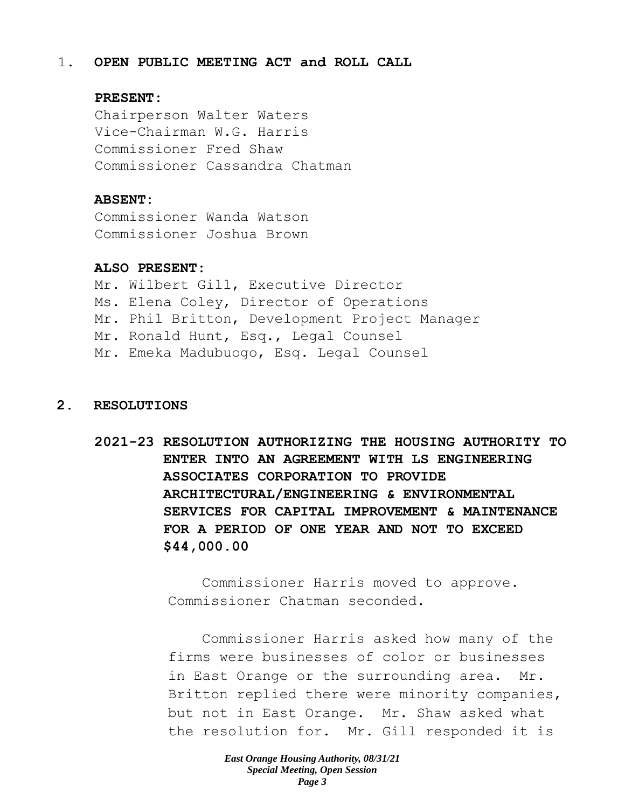#### 1. **OPEN PUBLIC MEETING ACT and ROLL CALL**

## **PRESENT:**

Chairperson Walter Waters Vice-Chairman W.G. Harris Commissioner Fred Shaw Commissioner Cassandra Chatman

## **ABSENT:**

Commissioner Wanda Watson Commissioner Joshua Brown

## **ALSO PRESENT:**

Mr. Wilbert Gill, Executive Director Ms. Elena Coley, Director of Operations Mr. Phil Britton, Development Project Manager Mr. Ronald Hunt, Esq., Legal Counsel Mr. Emeka Madubuogo, Esq. Legal Counsel

# **2. RESOLUTIONS**

**2021-23 RESOLUTION AUTHORIZING THE HOUSING AUTHORITY TO ENTER INTO AN AGREEMENT WITH LS ENGINEERING ASSOCIATES CORPORATION TO PROVIDE ARCHITECTURAL/ENGINEERING & ENVIRONMENTAL SERVICES FOR CAPITAL IMPROVEMENT & MAINTENANCE FOR A PERIOD OF ONE YEAR AND NOT TO EXCEED \$44,000.00** 

> Commissioner Harris moved to approve. Commissioner Chatman seconded.

Commissioner Harris asked how many of the firms were businesses of color or businesses in East Orange or the surrounding area. Mr. Britton replied there were minority companies, but not in East Orange. Mr. Shaw asked what the resolution for. Mr. Gill responded it is